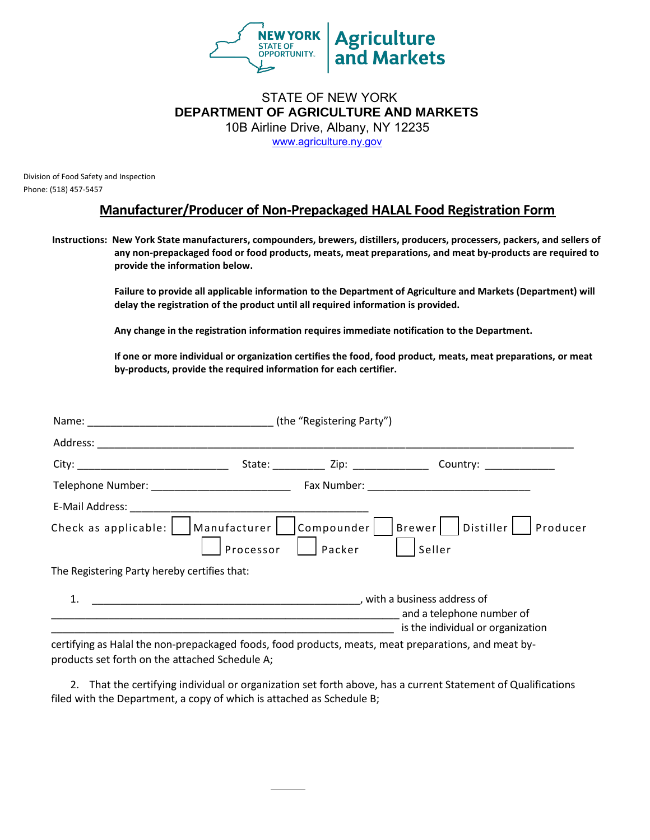

### [STATE OF NEW YOR](http://www.agriculture.ny.gov/)K **DEPARTMENT OF AGRICULTURE AND MARKETS**  10B Airline Drive, Albany, NY 12235

www.agriculture.ny.gov

Division of Food Safety and Inspection Phone: (518) 457-5457

#### **Manufacturer/Producer of Non-Prepackaged HALAL Food Registration Form**

**Instructions: New York State manufacturers, compounders, brewers, distillers, producers, processers, packers, and sellers of any non-prepackaged food or food products, meats, meat preparations, and meat by-products are required to provide the information below.** 

> **Failure to provide all applicable information to the Department of Agriculture and Markets (Department) will delay the registration of the product until all required information is provided.**

**Any change in the registration information requires immediate notification to the Department.** 

**If one or more individual or organization certifies the food, food product, meats, meat preparations, or meat by-products, provide the required information for each certifier.** 

| Name: (the "Registering Party")               |           |        |                                                                                                |
|-----------------------------------------------|-----------|--------|------------------------------------------------------------------------------------------------|
|                                               |           |        |                                                                                                |
|                                               |           |        | State: _____________ Zip: ____________________ Country: __________________                     |
| Telephone Number: ___________________________ |           |        |                                                                                                |
|                                               |           |        |                                                                                                |
| Check as applicable:     Manufacturer         | Processor | Packer | Compounder     Brewer     Distiller     Producer<br>Seller                                     |
| The Registering Party hereby certifies that:  |           |        |                                                                                                |
| 1.                                            |           |        | , with a business address of<br>and a telephone number of<br>is the individual or organization |

certifying as Halal the non-prepackaged foods, food products, meats, meat preparations, and meat byproducts set forth on the attached Schedule A;

2. That the certifying individual or organization set forth above, has a current Statement of Qualifications filed with the Department, a copy of which is attached as Schedule B;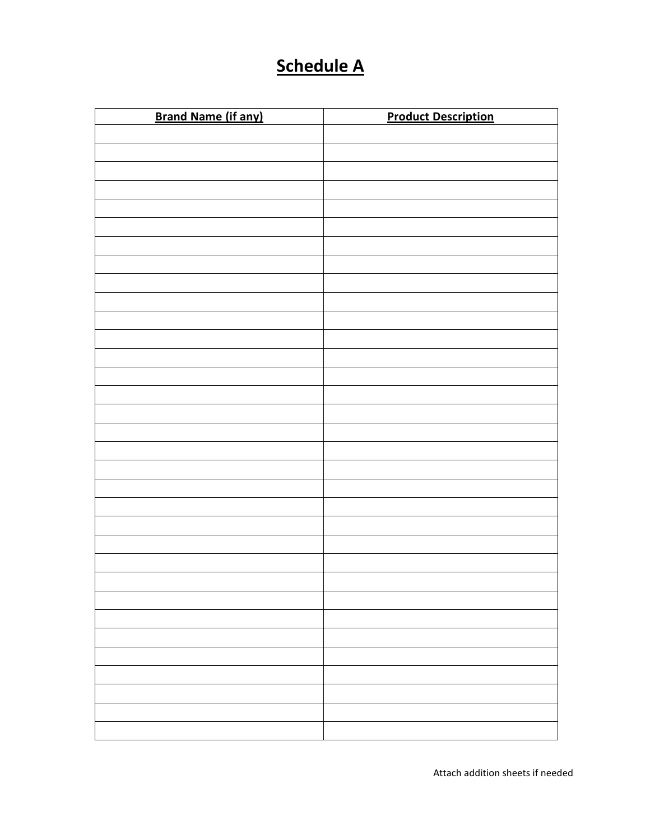## **Schedule A**

| <b>Brand Name (if any)</b> | <b>Product Description</b> |
|----------------------------|----------------------------|
|                            |                            |
|                            |                            |
|                            |                            |
|                            |                            |
|                            |                            |
|                            |                            |
|                            |                            |
|                            |                            |
|                            |                            |
|                            |                            |
|                            |                            |
|                            |                            |
|                            |                            |
|                            |                            |
|                            |                            |
|                            |                            |
|                            |                            |
|                            |                            |
|                            |                            |
|                            |                            |
|                            |                            |
|                            |                            |
|                            |                            |
|                            |                            |
|                            |                            |
|                            |                            |
|                            |                            |
|                            |                            |
|                            |                            |
|                            |                            |
|                            |                            |
|                            |                            |
|                            |                            |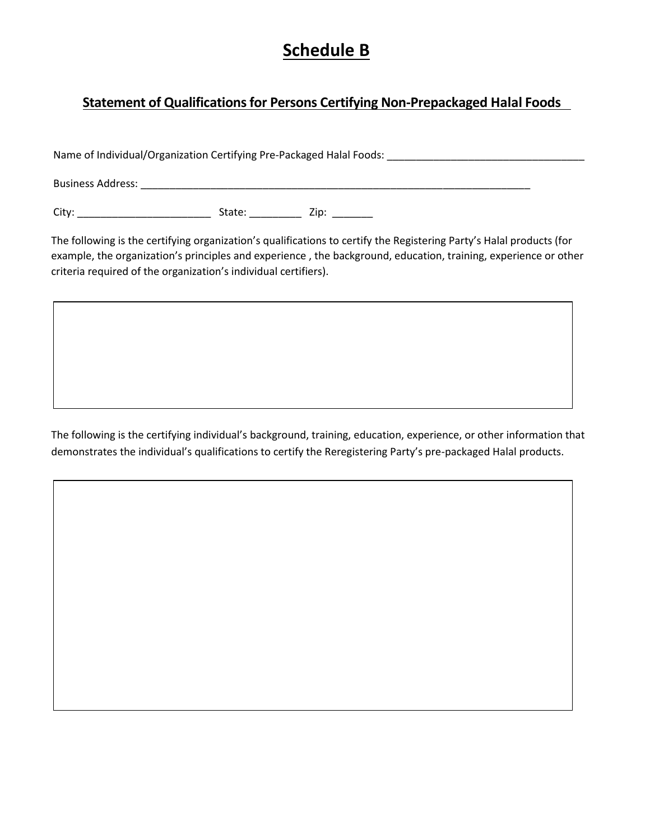## **Schedule B**

#### **Statement of Qualifications for Persons Certifying Non-Prepackaged Halal Foods**

Name of Individual/Organization Certifying Pre-Packaged Halal Foods: \_\_\_\_\_\_\_\_\_\_\_\_\_\_\_\_\_\_\_\_\_\_\_\_\_\_\_\_\_\_\_\_\_\_

Business Address: \_\_\_\_\_\_\_\_\_\_\_\_\_\_\_\_\_\_\_\_\_\_\_\_\_\_\_\_\_\_\_\_\_\_\_\_\_\_\_\_\_\_\_\_\_\_\_\_\_\_\_\_\_\_\_\_\_\_\_\_\_\_\_\_\_\_\_

City: \_\_\_\_\_\_\_\_\_\_\_\_\_\_\_\_\_\_\_\_\_\_\_ State: \_\_\_\_\_\_\_\_\_ Zip: \_\_\_\_\_\_\_

The following is the certifying organization's qualifications to certify the Registering Party's Halal products (for example, the organization's principles and experience , the background, education, training, experience or other criteria required of the organization's individual certifiers).

The following is the certifying individual's background, training, education, experience, or other information that demonstrates the individual's qualifications to certify the Reregistering Party's pre-packaged Halal products.